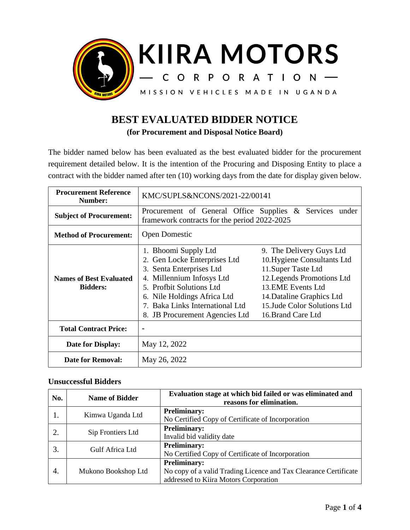

## **BEST EVALUATED BIDDER NOTICE**

**(for Procurement and Disposal Notice Board)**

The bidder named below has been evaluated as the best evaluated bidder for the procurement requirement detailed below. It is the intention of the Procuring and Disposing Entity to place a contract with the bidder named after ten (10) working days from the date for display given below.

| <b>Procurement Reference</b><br>Number:           | KMC/SUPLS&NCONS/2021-22/00141                                                                                                                                                                                                                     |                                                                                                                                                                                                                      |
|---------------------------------------------------|---------------------------------------------------------------------------------------------------------------------------------------------------------------------------------------------------------------------------------------------------|----------------------------------------------------------------------------------------------------------------------------------------------------------------------------------------------------------------------|
| <b>Subject of Procurement:</b>                    | Procurement of General Office Supplies & Services under<br>framework contracts for the period 2022-2025                                                                                                                                           |                                                                                                                                                                                                                      |
| <b>Method of Procurement:</b>                     | <b>Open Domestic</b>                                                                                                                                                                                                                              |                                                                                                                                                                                                                      |
| <b>Names of Best Evaluated</b><br><b>Bidders:</b> | 1. Bhoomi Supply Ltd<br>2. Gen Locke Enterprises Ltd<br>3. Senta Enterprises Ltd<br>Millennium Infosys Ltd<br>4.<br>5. Profbit Solutions Ltd<br>6. Nile Holdings Africa Ltd.<br>7. Baka Links International Ltd<br>8. JB Procurement Agencies Ltd | 9. The Delivery Guys Ltd<br>10. Hygiene Consultants Ltd<br>11.Super Taste Ltd<br>12. Legends Promotions Ltd<br>13. EME Events Ltd<br>14. Dataline Graphics Ltd<br>15. Jude Color Solutions Ltd<br>16. Brand Care Ltd |
| <b>Total Contract Price:</b>                      |                                                                                                                                                                                                                                                   |                                                                                                                                                                                                                      |
| Date for Display:                                 | May 12, 2022                                                                                                                                                                                                                                      |                                                                                                                                                                                                                      |
| <b>Date for Removal:</b>                          | May 26, 2022                                                                                                                                                                                                                                      |                                                                                                                                                                                                                      |

## **Unsuccessful Bidders**

| No. | <b>Name of Bidder</b> | Evaluation stage at which bid failed or was eliminated and<br>reasons for elimination.                                           |  |
|-----|-----------------------|----------------------------------------------------------------------------------------------------------------------------------|--|
|     | Kimwa Uganda Ltd      | <b>Preliminary:</b><br>No Certified Copy of Certificate of Incorporation                                                         |  |
| 2.  | Sip Frontiers Ltd     | <b>Preliminary:</b><br>Invalid bid validity date                                                                                 |  |
| 3.  | Gulf Africa Ltd       | <b>Preliminary:</b><br>No Certified Copy of Certificate of Incorporation                                                         |  |
| 4.  | Mukono Bookshop Ltd   | <b>Preliminary:</b><br>No copy of a valid Trading Licence and Tax Clearance Certificate<br>addressed to Kiira Motors Corporation |  |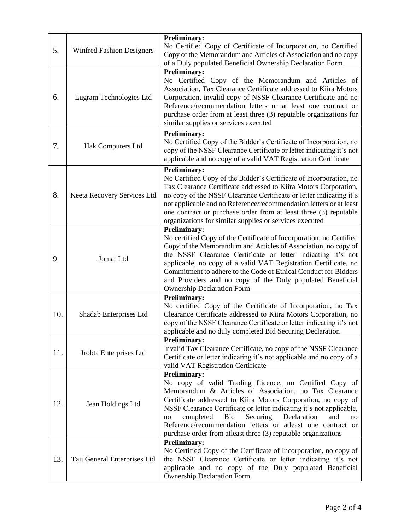| 5.  | <b>Winfred Fashion Designers</b> | <b>Preliminary:</b><br>No Certified Copy of Certificate of Incorporation, no Certified<br>Copy of the Memorandum and Articles of Association and no copy<br>of a Duly populated Beneficial Ownership Declaration Form                                                                                                                                                                                                                                                              |
|-----|----------------------------------|------------------------------------------------------------------------------------------------------------------------------------------------------------------------------------------------------------------------------------------------------------------------------------------------------------------------------------------------------------------------------------------------------------------------------------------------------------------------------------|
| 6.  | Lugram Technologies Ltd          | <b>Preliminary:</b><br>No Certified Copy of the Memorandum and Articles of<br>Association, Tax Clearance Certificate addressed to Kiira Motors<br>Corporation, invalid copy of NSSF Clearance Certificate and no<br>Reference/recommendation letters or at least one contract or<br>purchase order from at least three (3) reputable organizations for<br>similar supplies or services executed                                                                                    |
| 7.  | Hak Computers Ltd                | <b>Preliminary:</b><br>No Certified Copy of the Bidder's Certificate of Incorporation, no<br>copy of the NSSF Clearance Certificate or letter indicating it's not<br>applicable and no copy of a valid VAT Registration Certificate                                                                                                                                                                                                                                                |
| 8.  | Keeta Recovery Services Ltd      | <b>Preliminary:</b><br>No Certified Copy of the Bidder's Certificate of Incorporation, no<br>Tax Clearance Certificate addressed to Kiira Motors Corporation,<br>no copy of the NSSF Clearance Certificate or letter indicating it's<br>not applicable and no Reference/recommendation letters or at least<br>one contract or purchase order from at least three (3) reputable<br>organizations for similar supplies or services executed                                          |
| 9.  | Jomat Ltd                        | <b>Preliminary:</b><br>No certified Copy of the Certificate of Incorporation, no Certified<br>Copy of the Memorandum and Articles of Association, no copy of<br>the NSSF Clearance Certificate or letter indicating it's not<br>applicable, no copy of a valid VAT Registration Certificate, no<br>Commitment to adhere to the Code of Ethical Conduct for Bidders<br>and Providers and no copy of the Duly populated Beneficial<br><b>Ownership Declaration Form</b>              |
| 10. | Shadab Enterprises Ltd           | <b>Preliminary:</b><br>No certified Copy of the Certificate of Incorporation, no Tax<br>Clearance Certificate addressed to Kiira Motors Corporation, no<br>copy of the NSSF Clearance Certificate or letter indicating it's not<br>applicable and no duly completed Bid Securing Declaration                                                                                                                                                                                       |
| 11. | Jrobta Enterprises Ltd           | <b>Preliminary:</b><br>Invalid Tax Clearance Certificate, no copy of the NSSF Clearance<br>Certificate or letter indicating it's not applicable and no copy of a<br>valid VAT Registration Certificate                                                                                                                                                                                                                                                                             |
| 12. | Jean Holdings Ltd                | <b>Preliminary:</b><br>No copy of valid Trading Licence, no Certified Copy of<br>Memorandum & Articles of Association, no Tax Clearance<br>Certificate addressed to Kiira Motors Corporation, no copy of<br>NSSF Clearance Certificate or letter indicating it's not applicable,<br>completed<br>Declaration<br>Bid<br>Securing<br>and<br>no<br>no<br>Reference/recommendation letters or atleast one contract or<br>purchase order from atleast three (3) reputable organizations |
| 13. | Taij General Enterprises Ltd     | <b>Preliminary:</b><br>No Certified Copy of the Certificate of Incorporation, no copy of<br>the NSSF Clearance Certificate or letter indicating it's not<br>applicable and no copy of the Duly populated Beneficial<br><b>Ownership Declaration Form</b>                                                                                                                                                                                                                           |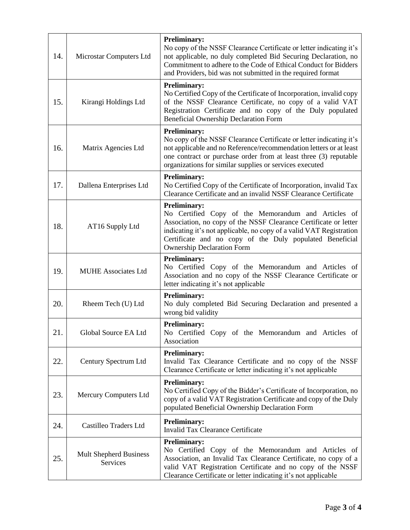| 14. | Microstar Computers Ltd                   | <b>Preliminary:</b><br>No copy of the NSSF Clearance Certificate or letter indicating it's<br>not applicable, no duly completed Bid Securing Declaration, no<br>Commitment to adhere to the Code of Ethical Conduct for Bidders<br>and Providers, bid was not submitted in the required format                         |
|-----|-------------------------------------------|------------------------------------------------------------------------------------------------------------------------------------------------------------------------------------------------------------------------------------------------------------------------------------------------------------------------|
| 15. | Kirangi Holdings Ltd                      | <b>Preliminary:</b><br>No Certified Copy of the Certificate of Incorporation, invalid copy<br>of the NSSF Clearance Certificate, no copy of a valid VAT<br>Registration Certificate and no copy of the Duly populated<br><b>Beneficial Ownership Declaration Form</b>                                                  |
| 16. | Matrix Agencies Ltd                       | <b>Preliminary:</b><br>No copy of the NSSF Clearance Certificate or letter indicating it's<br>not applicable and no Reference/recommendation letters or at least<br>one contract or purchase order from at least three (3) reputable<br>organizations for similar supplies or services executed                        |
| 17. | Dallena Enterprises Ltd                   | <b>Preliminary:</b><br>No Certified Copy of the Certificate of Incorporation, invalid Tax<br>Clearance Certificate and an invalid NSSF Clearance Certificate                                                                                                                                                           |
| 18. | AT16 Supply Ltd                           | <b>Preliminary:</b><br>No Certified Copy of the Memorandum and Articles of<br>Association, no copy of the NSSF Clearance Certificate or letter<br>indicating it's not applicable, no copy of a valid VAT Registration<br>Certificate and no copy of the Duly populated Beneficial<br><b>Ownership Declaration Form</b> |
| 19. | <b>MUHE Associates Ltd</b>                | <b>Preliminary:</b><br>No Certified Copy of the Memorandum and Articles of<br>Association and no copy of the NSSF Clearance Certificate or<br>letter indicating it's not applicable                                                                                                                                    |
| 20. | Rheem Tech (U) Ltd                        | <b>Preliminary:</b><br>No duly completed Bid Securing Declaration and presented a<br>wrong bid validity                                                                                                                                                                                                                |
| 21. | Global Source EA Ltd                      | <b>Preliminary:</b><br>No Certified Copy of the Memorandum and Articles of<br>Association                                                                                                                                                                                                                              |
| 22. | Century Spectrum Ltd                      | <b>Preliminary:</b><br>Invalid Tax Clearance Certificate and no copy of the NSSF<br>Clearance Certificate or letter indicating it's not applicable                                                                                                                                                                     |
| 23. | <b>Mercury Computers Ltd</b>              | <b>Preliminary:</b><br>No Certified Copy of the Bidder's Certificate of Incorporation, no<br>copy of a valid VAT Registration Certificate and copy of the Duly<br>populated Beneficial Ownership Declaration Form                                                                                                      |
| 24. | Castilleo Traders Ltd                     | <b>Preliminary:</b><br><b>Invalid Tax Clearance Certificate</b>                                                                                                                                                                                                                                                        |
| 25. | <b>Mult Shepherd Business</b><br>Services | <b>Preliminary:</b><br>No Certified Copy of the Memorandum and Articles of<br>Association, an Invalid Tax Clearance Certificate, no copy of a<br>valid VAT Registration Certificate and no copy of the NSSF<br>Clearance Certificate or letter indicating it's not applicable                                          |